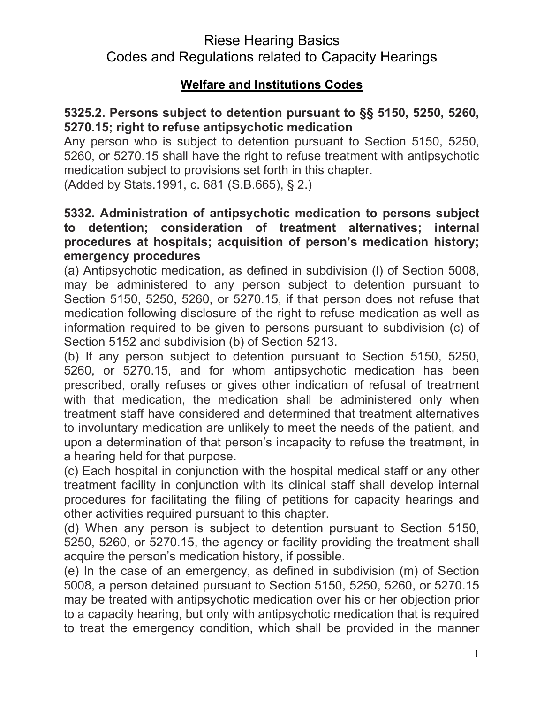## **Welfare and Institutions Codes**

### **5325.2. Persons subject to detention pursuant to §§ 5150, 5250, 5260, 5270.15; right to refuse antipsychotic medication**

Any person who is subject to detention pursuant to Section 5150, 5250, 5260, or 5270.15 shall have the right to refuse treatment with antipsychotic medication subject to provisions set forth in this chapter.

(Added by Stats.1991, c. 681 (S.B.665), § 2.)

### **5332. Administration of antipsychotic medication to persons subject to detention; consideration of treatment alternatives; internal procedures at hospitals; acquisition of person's medication history; emergency procedures**

(a) Antipsychotic medication, as defined in subdivision (l) of Section 5008, may be administered to any person subject to detention pursuant to Section 5150, 5250, 5260, or 5270.15, if that person does not refuse that medication following disclosure of the right to refuse medication as well as information required to be given to persons pursuant to subdivision (c) of Section 5152 and subdivision (b) of Section 5213.

(b) If any person subject to detention pursuant to Section 5150, 5250, 5260, or 5270.15, and for whom antipsychotic medication has been prescribed, orally refuses or gives other indication of refusal of treatment with that medication, the medication shall be administered only when treatment staff have considered and determined that treatment alternatives to involuntary medication are unlikely to meet the needs of the patient, and upon a determination of that person's incapacity to refuse the treatment, in a hearing held for that purpose.

(c) Each hospital in conjunction with the hospital medical staff or any other treatment facility in conjunction with its clinical staff shall develop internal procedures for facilitating the filing of petitions for capacity hearings and other activities required pursuant to this chapter.

(d) When any person is subject to detention pursuant to Section 5150, 5250, 5260, or 5270.15, the agency or facility providing the treatment shall acquire the person's medication history, if possible.

(e) In the case of an emergency, as defined in subdivision (m) of Section 5008, a person detained pursuant to Section 5150, 5250, 5260, or 5270.15 may be treated with antipsychotic medication over his or her objection prior to a capacity hearing, but only with antipsychotic medication that is required to treat the emergency condition, which shall be provided in the manner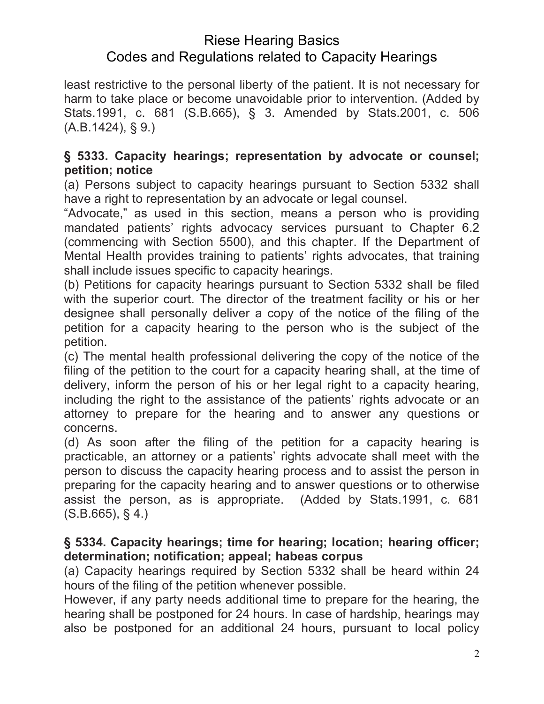least restrictive to the personal liberty of the patient. It is not necessary for harm to take place or become unavoidable prior to intervention. (Added by Stats.1991, c. 681 (S.B.665), § 3. Amended by Stats.2001, c. 506 (A.B.1424), § 9.)

## **§ 5333. Capacity hearings; representation by advocate or counsel; petition; notice**

(a) Persons subject to capacity hearings pursuant to Section 5332 shall have a right to representation by an advocate or legal counsel.

"Advocate," as used in this section, means a person who is providing mandated patients' rights advocacy services pursuant to Chapter 6.2 (commencing with Section 5500), and this chapter. If the Department of Mental Health provides training to patients' rights advocates, that training shall include issues specific to capacity hearings.

(b) Petitions for capacity hearings pursuant to Section 5332 shall be filed with the superior court. The director of the treatment facility or his or her designee shall personally deliver a copy of the notice of the filing of the petition for a capacity hearing to the person who is the subject of the petition.

(c) The mental health professional delivering the copy of the notice of the filing of the petition to the court for a capacity hearing shall, at the time of delivery, inform the person of his or her legal right to a capacity hearing, including the right to the assistance of the patients' rights advocate or an attorney to prepare for the hearing and to answer any questions or concerns.

(d) As soon after the filing of the petition for a capacity hearing is practicable, an attorney or a patients' rights advocate shall meet with the person to discuss the capacity hearing process and to assist the person in preparing for the capacity hearing and to answer questions or to otherwise assist the person, as is appropriate. (Added by Stats.1991, c. 681  $(S.B.665), § 4.$ 

### **§ 5334. Capacity hearings; time for hearing; location; hearing officer; determination; notification; appeal; habeas corpus**

(a) Capacity hearings required by Section 5332 shall be heard within 24 hours of the filing of the petition whenever possible.

However, if any party needs additional time to prepare for the hearing, the hearing shall be postponed for 24 hours. In case of hardship, hearings may also be postponed for an additional 24 hours, pursuant to local policy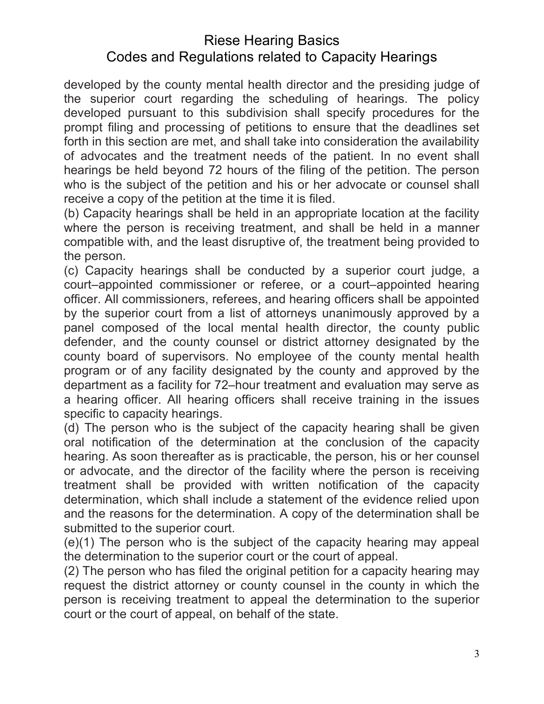developed by the county mental health director and the presiding judge of the superior court regarding the scheduling of hearings. The policy developed pursuant to this subdivision shall specify procedures for the prompt filing and processing of petitions to ensure that the deadlines set forth in this section are met, and shall take into consideration the availability of advocates and the treatment needs of the patient. In no event shall hearings be held beyond 72 hours of the filing of the petition. The person who is the subject of the petition and his or her advocate or counsel shall receive a copy of the petition at the time it is filed.

(b) Capacity hearings shall be held in an appropriate location at the facility where the person is receiving treatment, and shall be held in a manner compatible with, and the least disruptive of, the treatment being provided to the person.

(c) Capacity hearings shall be conducted by a superior court judge, a court–appointed commissioner or referee, or a court–appointed hearing officer. All commissioners, referees, and hearing officers shall be appointed by the superior court from a list of attorneys unanimously approved by a panel composed of the local mental health director, the county public defender, and the county counsel or district attorney designated by the county board of supervisors. No employee of the county mental health program or of any facility designated by the county and approved by the department as a facility for 72–hour treatment and evaluation may serve as a hearing officer. All hearing officers shall receive training in the issues specific to capacity hearings.

(d) The person who is the subject of the capacity hearing shall be given oral notification of the determination at the conclusion of the capacity hearing. As soon thereafter as is practicable, the person, his or her counsel or advocate, and the director of the facility where the person is receiving treatment shall be provided with written notification of the capacity determination, which shall include a statement of the evidence relied upon and the reasons for the determination. A copy of the determination shall be submitted to the superior court.

(e)(1) The person who is the subject of the capacity hearing may appeal the determination to the superior court or the court of appeal.

(2) The person who has filed the original petition for a capacity hearing may request the district attorney or county counsel in the county in which the person is receiving treatment to appeal the determination to the superior court or the court of appeal, on behalf of the state.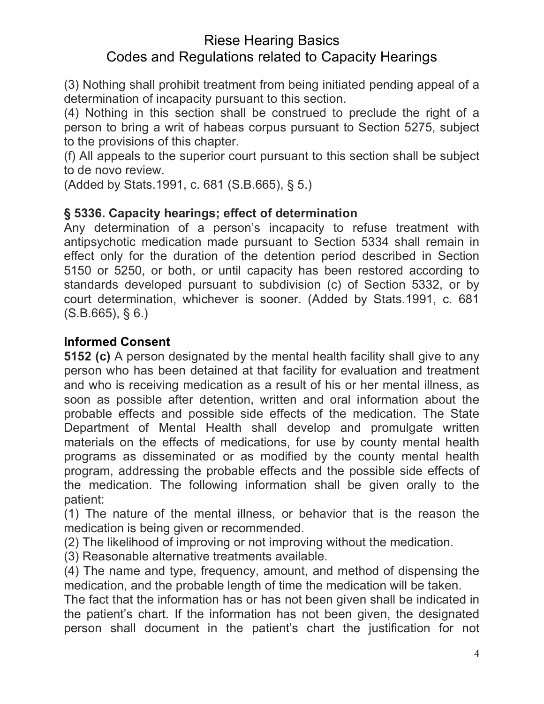(3) Nothing shall prohibit treatment from being initiated pending appeal of a determination of incapacity pursuant to this section.

(4) Nothing in this section shall be construed to preclude the right of a person to bring a writ of habeas corpus pursuant to Section 5275, subject to the provisions of this chapter.

(f) All appeals to the superior court pursuant to this section shall be subject to de novo review.

(Added by Stats.1991, c. 681 (S.B.665), § 5.)

### **§ 5336. Capacity hearings; effect of determination**

Any determination of a person's incapacity to refuse treatment with antipsychotic medication made pursuant to Section 5334 shall remain in effect only for the duration of the detention period described in Section 5150 or 5250, or both, or until capacity has been restored according to standards developed pursuant to subdivision (c) of Section 5332, or by court determination, whichever is sooner. (Added by Stats.1991, c. 681  $(S.B.665), S.6.$ 

## **Informed Consent**

**5152 (c)** A person designated by the mental health facility shall give to any person who has been detained at that facility for evaluation and treatment and who is receiving medication as a result of his or her mental illness, as soon as possible after detention, written and oral information about the probable effects and possible side effects of the medication. The State Department of Mental Health shall develop and promulgate written materials on the effects of medications, for use by county mental health programs as disseminated or as modified by the county mental health program, addressing the probable effects and the possible side effects of the medication. The following information shall be given orally to the patient:

(1) The nature of the mental illness, or behavior that is the reason the medication is being given or recommended.

(2) The likelihood of improving or not improving without the medication.

(3) Reasonable alternative treatments available.

(4) The name and type, frequency, amount, and method of dispensing the medication, and the probable length of time the medication will be taken.

The fact that the information has or has not been given shall be indicated in the patient's chart. If the information has not been given, the designated person shall document in the patient's chart the justification for not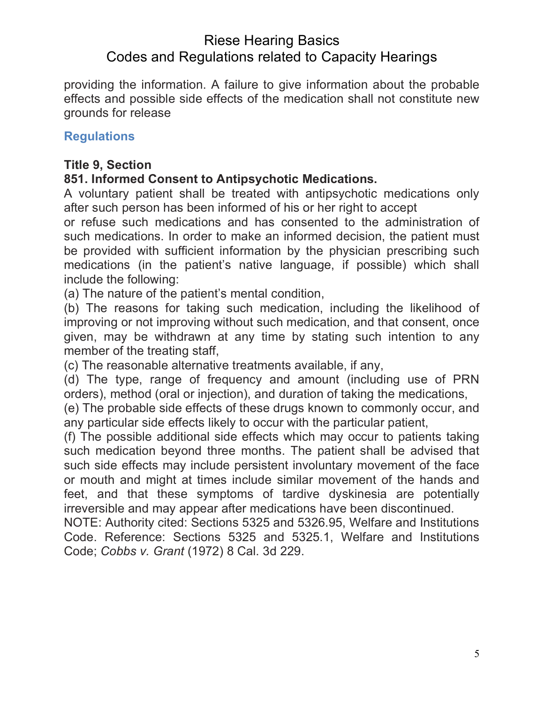providing the information. A failure to give information about the probable effects and possible side effects of the medication shall not constitute new grounds for release

## **Regulations**

#### **Title 9, Section**

## **851. Informed Consent to Antipsychotic Medications.**

A voluntary patient shall be treated with antipsychotic medications only after such person has been informed of his or her right to accept

or refuse such medications and has consented to the administration of such medications. In order to make an informed decision, the patient must be provided with sufficient information by the physician prescribing such medications (in the patient's native language, if possible) which shall include the following:

(a) The nature of the patient's mental condition,

(b) The reasons for taking such medication, including the likelihood of improving or not improving without such medication, and that consent, once given, may be withdrawn at any time by stating such intention to any member of the treating staff,

(c) The reasonable alternative treatments available, if any,

(d) The type, range of frequency and amount (including use of PRN orders), method (oral or injection), and duration of taking the medications,

(e) The probable side effects of these drugs known to commonly occur, and any particular side effects likely to occur with the particular patient,

(f) The possible additional side effects which may occur to patients taking such medication beyond three months. The patient shall be advised that such side effects may include persistent involuntary movement of the face or mouth and might at times include similar movement of the hands and feet, and that these symptoms of tardive dyskinesia are potentially irreversible and may appear after medications have been discontinued.

NOTE: Authority cited: Sections 5325 and 5326.95, Welfare and Institutions Code. Reference: Sections 5325 and 5325.1, Welfare and Institutions Code; *Cobbs v. Grant* (1972) 8 Cal. 3d 229.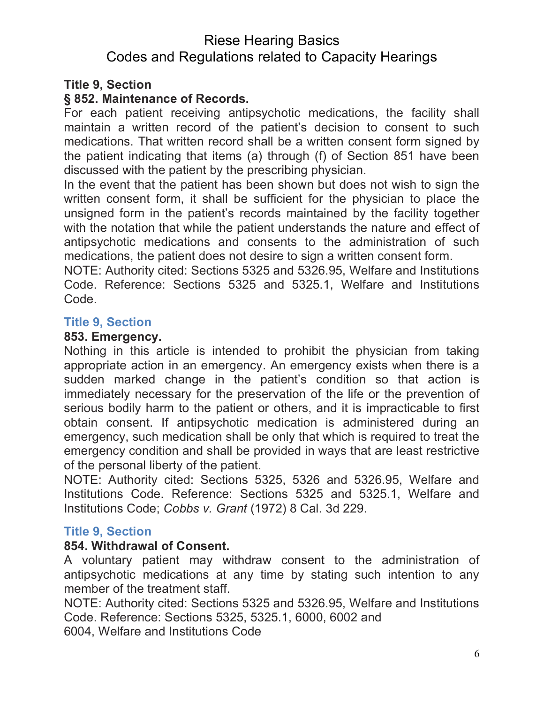#### **Title 9, Section**

#### **§ 852. Maintenance of Records.**

For each patient receiving antipsychotic medications, the facility shall maintain a written record of the patient's decision to consent to such medications. That written record shall be a written consent form signed by the patient indicating that items (a) through (f) of Section 851 have been discussed with the patient by the prescribing physician.

In the event that the patient has been shown but does not wish to sign the written consent form, it shall be sufficient for the physician to place the unsigned form in the patient's records maintained by the facility together with the notation that while the patient understands the nature and effect of antipsychotic medications and consents to the administration of such medications, the patient does not desire to sign a written consent form.

NOTE: Authority cited: Sections 5325 and 5326.95, Welfare and Institutions Code. Reference: Sections 5325 and 5325.1, Welfare and Institutions Code.

#### **Title 9, Section**

#### **853. Emergency.**

Nothing in this article is intended to prohibit the physician from taking appropriate action in an emergency. An emergency exists when there is a sudden marked change in the patient's condition so that action is immediately necessary for the preservation of the life or the prevention of serious bodily harm to the patient or others, and it is impracticable to first obtain consent. If antipsychotic medication is administered during an emergency, such medication shall be only that which is required to treat the emergency condition and shall be provided in ways that are least restrictive of the personal liberty of the patient.

NOTE: Authority cited: Sections 5325, 5326 and 5326.95, Welfare and Institutions Code. Reference: Sections 5325 and 5325.1, Welfare and Institutions Code; *Cobbs v. Grant* (1972) 8 Cal. 3d 229.

#### **Title 9, Section**

#### **854. Withdrawal of Consent.**

A voluntary patient may withdraw consent to the administration of antipsychotic medications at any time by stating such intention to any member of the treatment staff.

NOTE: Authority cited: Sections 5325 and 5326.95, Welfare and Institutions Code. Reference: Sections 5325, 5325.1, 6000, 6002 and

6004, Welfare and Institutions Code